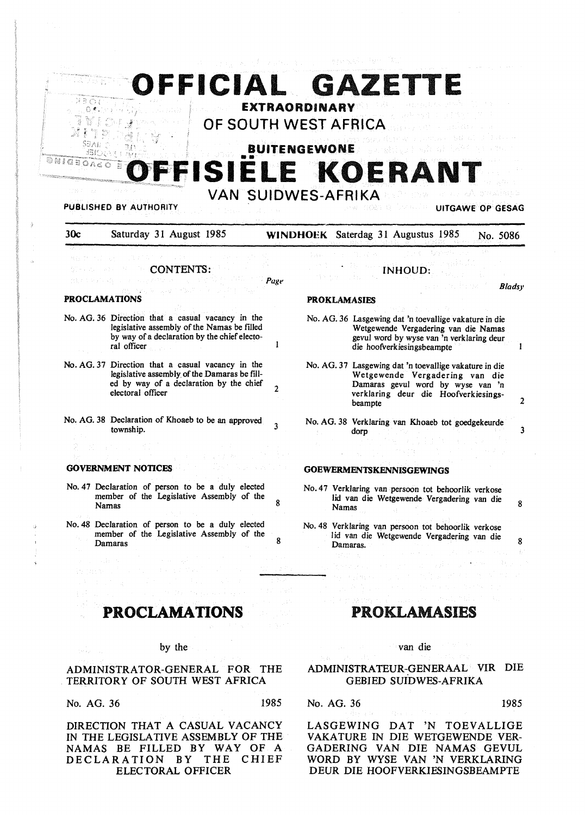| йво)<br>ONIGEORS     | OFFICIAL GAZETTE                                                                                                                                                  | <b>EXTRAORDINARY</b><br>OF SOUTH WEST AFRICA<br><b>BUITENGEWONE</b> |            |                                                                                                                                                                                  |                                                                                                                                                                           |                  |               |
|----------------------|-------------------------------------------------------------------------------------------------------------------------------------------------------------------|---------------------------------------------------------------------|------------|----------------------------------------------------------------------------------------------------------------------------------------------------------------------------------|---------------------------------------------------------------------------------------------------------------------------------------------------------------------------|------------------|---------------|
|                      | FFISIELE KOERANT<br><b>PUBLISHED BY AUTHORITY</b>                                                                                                                 | <b>VAN SUIDWES-AFRIKA</b>                                           |            |                                                                                                                                                                                  |                                                                                                                                                                           | UITGAWE OP GESAG |               |
| 30c                  | Saturday 31 August 1985                                                                                                                                           |                                                                     |            |                                                                                                                                                                                  | <b>WINDHOEK</b> Saterdag 31 Augustus 1985                                                                                                                                 |                  | No. 5086      |
|                      | <b>CONTENTS:</b>                                                                                                                                                  | Page                                                                |            |                                                                                                                                                                                  | INHOUD:                                                                                                                                                                   |                  | <b>Bladsy</b> |
| <b>PROCLAMATIONS</b> |                                                                                                                                                                   |                                                                     |            | <b>PROKLAMASIES</b>                                                                                                                                                              |                                                                                                                                                                           |                  |               |
|                      | No. AG. 36 Direction that a casual vacancy in the<br>legislative assembly of the Namas be filled<br>by way of a declaration by the chief electo-<br>ral officer   | 1                                                                   |            |                                                                                                                                                                                  | No. AG. 36 Lasgewing dat 'n toevallige vakature in die<br>Wetgewende Vergadering van die Namas<br>gevul word by wyse van 'n verklaring deur<br>die hoofverkiesingsbeampte |                  |               |
|                      | No. AG. 37 Direction that a casual vacancy in the<br>legislative assembly of the Damaras be fill-<br>ed by way of a declaration by the chief<br>electoral officer | 2                                                                   |            | No. AG. 37 Lasgewing dat 'n toevallige vakature in die<br>Wetgewende Vergadering van die<br>Damaras gevul word by wyse van 'n<br>verklaring deur die Hoofverkiesings-<br>beampte |                                                                                                                                                                           |                  |               |
|                      | No. AG. 38 Declaration of Khoaeb to be an approved<br>township.                                                                                                   | 3                                                                   |            | dorp                                                                                                                                                                             | No. AG. 38 Verklaring van Khoaeb tot goedgekeurde                                                                                                                         |                  |               |
|                      |                                                                                                                                                                   |                                                                     |            |                                                                                                                                                                                  |                                                                                                                                                                           |                  |               |
|                      | <b>GOVERNMENT NOTICES</b>                                                                                                                                         |                                                                     |            |                                                                                                                                                                                  | <b>GOEWERMENTSKENNISGEWINGS</b>                                                                                                                                           |                  |               |
|                      | No. 47 Declaration of person to be a duly elected<br>member of the Legislative Assembly of the<br><b>Namas</b>                                                    | 8                                                                   |            | Namas                                                                                                                                                                            | No. 47 Verklaring van persoon tot behoorlik verkose<br>lid van die Wetgewende Vergadering van die                                                                         |                  |               |
| The Control          | No. 48 Declaration of person to be a duly elected<br>member of the Legislative Assembly of the<br>Damaras                                                         | 8                                                                   |            | Damaras.<br>razione della                                                                                                                                                        | No. 48 Verklaring van persoon tot behoorlik verkose<br>lid van die Wetgewende Vergadering van die                                                                         |                  |               |
| and subsets.         |                                                                                                                                                                   | t leat<br>n Syll                                                    |            |                                                                                                                                                                                  |                                                                                                                                                                           |                  |               |
|                      | <b>PROCLAMATIONS</b>                                                                                                                                              |                                                                     |            |                                                                                                                                                                                  | <b>PROKLAMASIES</b>                                                                                                                                                       |                  |               |
| the car is a         | by the                                                                                                                                                            |                                                                     |            |                                                                                                                                                                                  | van die                                                                                                                                                                   |                  |               |
|                      | ADMINISTRATOR-GENERAL FOR THE<br>TERRITORY OF SOUTH WEST AFRICA                                                                                                   |                                                                     |            |                                                                                                                                                                                  | ADMINISTRATEUR-GENERAAL VIR DIE<br><b>GEBIED SUIDWES-AFRIKA</b>                                                                                                           |                  |               |
| No. AG. 36           |                                                                                                                                                                   | 1985                                                                | No. AG. 36 |                                                                                                                                                                                  |                                                                                                                                                                           |                  | 1985          |
|                      | DIRECTION THAT A CASUAL VACANCY                                                                                                                                   |                                                                     |            | LASGEWING                                                                                                                                                                        | 'N<br>DAT                                                                                                                                                                 | TOEVALLIGE       |               |

ELECTORAL OFFICER

-3

IN THE LEGISLATIVE ASSEMBLY OF THE NAMAS BE FILLED BY WAY OF A DECLARATION BY THE CHIEF VAKATURE IN DIE WETGEWENDE VER-GADERING VAN DIE NAMAS GEVUL WORD BY WYSE VAN 'N VERKLARING DEUR DIE HOOFVERKIESINGSBEAMPTE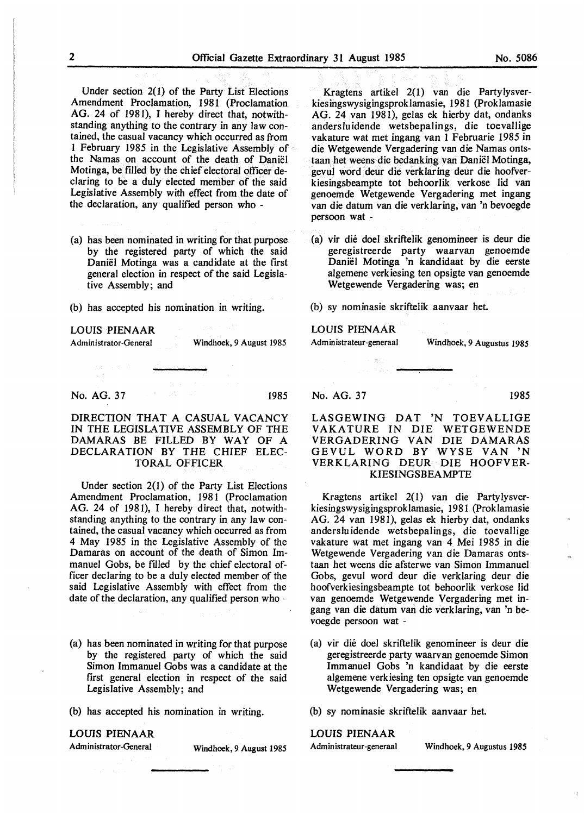Under section 2(1) of the Party List Elections Amendment Proclamation, 1981 (Proclamation AG. 24 of 1981), I hereby direct that, notwithstanding anything to the contrary in any law contained, the casual vacancy which occurred as from I February 1985 in the Legislative Assembly of the Namas on account of the death of Daniel Motinga, be filled by the chief electoral officer declaring to be a duly elected member of the said Legislative Assembly with effect from the date of the declaration, any qualified person who -

(a) has been nominated in writing for that purpose by the registered party of which the said Daniel Motinga was a candidate at the first general election in respect of the said Legislative Assembly; and

(b) has accepted his nomination in writing.

## **LOUIS PIENAAR**

Administrator-General Windhoek, 9 August 1985

**No. AG. 37** 1985

DIRECTION THAT A CASUAL VACANCY IN THE LEGISLATIVE ASSEMBLY OF THE DAMARAS BE FILLED BY WAY OF A DECLARATION BY THE CHIEF ELEC-TORAL OFFICER

Under section 2(1) of the Party List Elections Amendment Proclamation, 1981 (Proclamation AG. 24 of 1981), I hereby direct that, notwithstanding anything to the contrary in any law contained, the casual vacancy which occurred as from 4 May 1985 in the Legislative Assembly of the Damaras on account of the death of Simon Immanuel Gobs, be filled by the chief electoral officer declaring to be a duly elected member of the said Legislative Assembly with effect from the date of the declaration, any qualified person who -

(a) has been nominated in writing for that purpose by the registered party of which the said Simon Immanuel Gobs was a candidate at the first general election in respect of the said Legislative Assembly; and

(b) has accepted his nomination in writing.

## **LOUIS PIENAAR**

Administrator-General Windhoek, 9 August 1985

Kragtens artikel 2(1) van die Partylysverkiesingswysigingsproklamasie, 1981 (Proklamasie AG. 24 van 1981), gelas ek hierby dat, ondanks andersluidende wetsbepalings, die toevallige vakature wat met ingang van 1 Februarie 1985 in die Wetgewende Vergadering van die Namas ontstaan bet weens die bedanking van Daniel Motinga, gevul word deur die verklaring deur die hoofverkiesingsbeampte tot behoorlik verkose lid van genoemde Wetgewende Vergadering met ingang van die datum van die verklaring, van 'n bevoegde persoon wat -

(a) vir die doel skriftelik genomineer is deur die geregistreerde party waarvan genoemde Daniel Motinga 'n kandidaat by die eerste algemene verkiesing ten opsigte van genoemde Wetgewende Vergadering was; en

(b) sy nominasie skriftelik aanvaar bet.

## **LOUIS PIENAAR**

Administrateur-generaal Windhoek, 9 Augustus 1985

No. AG. 37 1985

LASGEWING DAT 'N TOEVALLIGE VAKA TURE IN DIE WETGEWENDE VERGADERING VAN DIE DAMARAS GEVUL WORD BY WYSE VAN 'N VERKLARING DEUR DIE HOOFVER-KIESINGSBEAMPTE

Kragtens artikel 2(1) van die Partylysverkiesingswysigingsproklamasie, 1981 (Proklamasie AG. 24 van 1981), gelas ek hierby dat, ondanks anderslu idende wetsbepalings, die toevallige vakature wat met ingang van 4 Mei 1985 in die Wetgewende Vergadering van die Damaras ontstaan het weens die afsterwe van Simon Immanuel Gobs, gevul word deur die verklaring deur die hoofverkiesingsbeampte tot behoorlik verkose lid van genoemde Wetgewende Vergadering met ingang van die datum van die verklaring, van 'n bevoegde persoon wat -

(a) vir die doel skriftelik genomineer is deur die geregistreerde party waarvan genoemde Simon Immanuel Gobs 'n kandidaat by die eerste algemene verkiesing ten opsigte van genoemde Wetgewende Vergadering was; en

(b) sy nominasie skriftelik aanvaar het.

## LOUIS PIENAAR

Administrateur-generaal Windhoek, 9 Augustus **1985**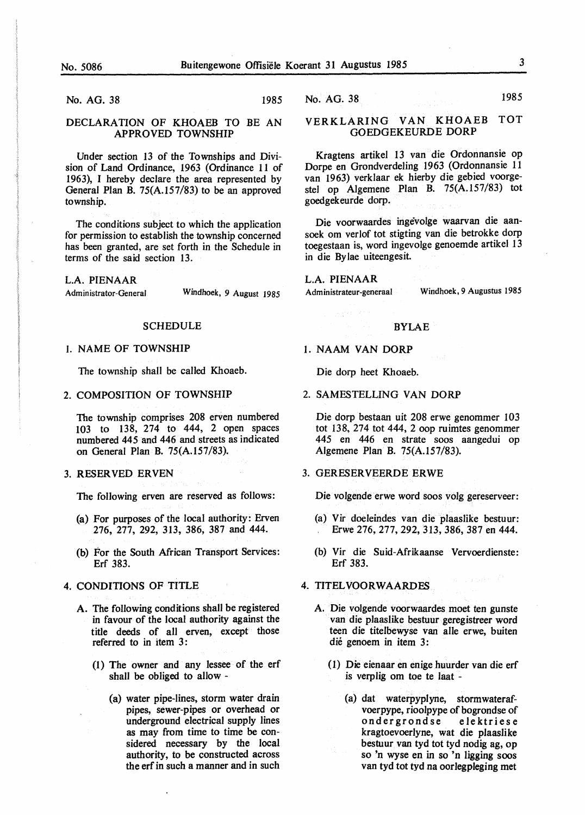No. AG. 38 1985

## DECLARATION OF KHOAEB TO BE AN **APPROVED TOWNSHIP**

Under section 13 of the Townships and Division of Land Ordinance, 1963 (Ordinance 11 of 1963), I hereby declare the area represented by General Plan B. 75(A.157/83) to be an approved township.

The conditions subject to which the application for permission to establish the township concerned has been granted, are set forth in the Schedule in terms of the said section 13.

**L.A. PIENAAR** 

Administrator-General Windhoek, 9 August *1985* 

## **SCHEDULE**

## I. NAME OF TOWNSHIP

The township shall be called Khoaeb.

## 2. COMPOSITION OF TOWNSHIP

The township comprises 208 erven numbered 103 to 138, 274 to 444, 2 open spaces numbered 445 and 446 and streets as indicated on General Plan B. 75(A.157/83).

### 3. RESERVED ERVEN

The following erven are reserved as follows:

- (a) For purposes of the local authority: Erven 276, 277, 292, 313, 386, 387 and 444.
- (b) For the South African Transport Services: Erf 383.

## 4. CONDITIONS OF TITLE

- A. The following conditions shall be registered in favour of the local authority against the title deeds of all erven, except those referred to in item 3:
	- (1) The owner and any lessee of the erf shall be obliged to allow -
		- (a) water pipe-lines, storm water drain pipes, sewer-pipes or overhead or underground electrical supply lines as may from time to time be considered necessary by the local authority, to be constructed across the erf in such a manner and in such

No. AG. 38 1985

## VERKLARING VAN KHOAEB TOT GOEDGEKEURDE DORP

Kragtens artikel 13 van die Ordonnansie op Dorpe en Grondverdeling 1963 (Ordonnansie 11 van 1963) verklaar ek hierby die gebied voorgestel op Algemene Plan B. 75(A.157/83) tot goedgekeurde dorp.

Die voorwaardes ingevolge waarvan die aansoek om verlof tot stigting van die betrokke dorp toegestaan is, word ingevolge genoemde artikel 13 in die Bylae uiteengesit.

L.A. **PIENAAR**  Administrateur-generaal Windhoek, 9 Augustus *1985* 

## BYLAE

## I. NAAM VAN DORP

Die dorp beet Khoaeb.

2. SAMESTELLING VAN DORP

Die dorp bestaan uit 208 erwe genommer 103 tot 138, 274 tot 444, 2 oop ruimtes genommer 445 en 446 en strate soos aangedui op Algemene Plan B. 75(A.157/83).

## 3. GERESERVEERDE ERWE

Die volgende erwe word soos volg gereserveer:

- (a) Vir doeleindes van die plaaslike bestuur: Erwe 276, 277, 292, 313, 386, 387 en 444.
- (b) Vir die Suid-Afrikaanse Vervoerdienste: Erf 383.

## 4. TITELVOORWAARDES

- A. Die volgende voorwaardes moet ten gunste van die plaaslike bestuur geregistreer word teen die titelbewyse van alle erwe, buiten die genoem in item 3:
	- ( 1) Die eienaar en enige huurder van die erf is verplig om toe te laat -
		- (a) dat waterpyplyne, stormwaterafvoerpype, rioolpype of bogrondse of<br>ondergrondse elektriese ondergrondse kragtoevoerlyne, wat die plaaslike bestuur van tyd tot tyd nodig ag, op so 'n wyse en in so 'n ligging soos van tyd tot tyd na oorlegpleging met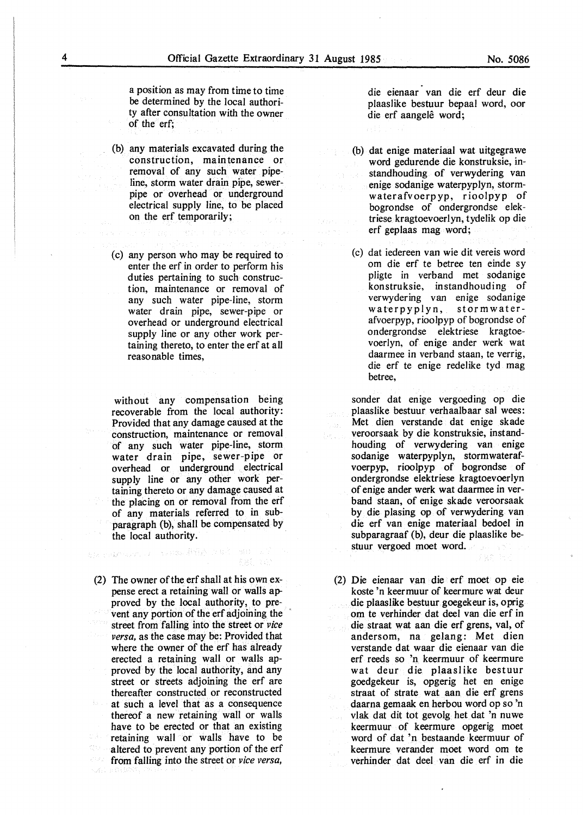a position as may from time to time be determined by the local authority after consultation with the owner of the erf;

- (b) any materials excavated during the construction, maintenance or removal. of any such water pipeline, storm water drain pipe, sewerpipe or overhead or underground electrical supply line, to be placed on the erf temporarily;
- (c) any person who may be required to enter the erf in order to perform his duties pertaining to such construction, maintenance or removal of any such water pipe-line, storm water drain pipe, sewer-pipe or overhead or underground electrical supply line or any other work pertaining thereto, to enter the erf at all reasonable times,

without any compensation being recoverable from the local authority: Provided that any damage caused at the construction, maintenance or removal of any such water pipe-line, storm water drain pipe, sewer-pipe or overhead or underground electrical supply line or any other work pertaining thereto or any damage caused at the placing on or removal from the erf of any materials referred to in subparagraph (b), shall be compensated by the local authority.

(2) The owner of the erf shall at his own expense erect a retaining wall or walls approved by the local authority, to prevent any portion of the erf adjoining the street from falling into the street or *vice versa,* as the case may be: Provided that where the owner of the erf has already erected a retaining wall or walls approved by the local authority, and any street or streets adjoining the erf are thereafter constructed or reconstructed at such a level that as a consequence thereof a new retaining wall or walls have to be erected or that an existing retaining wall or walls have to be altered to prevent any portion of the erf from falling into the street or *vice versa,* 

ale calment as the state of the state of

die eienaar van die erf deur die plaaslike bestuur bepaal word, oor die erf aangelê word;

- (b) dat enige materiaal wat uitgegrawe word gedurende die konstruksie, instandhouding of verwydering van enige sodanige waterpyplyn, stormwaterafvoerpyp, rioolpyp of bogrondse of ondergrondse elektriese kragtoevoerlyn, tydelik op die erf geplaas mag word;
- (c) dat iedereen van wie dit vereis word om die erf te betree ten einde sy pligte in verband met sodanige konstruksie, instandhouding of verwydering van enige sodanige waterpyplyn, stormwaterafvoerpyp, rioolpyp of bogrondse of ondergrondse elektriese kragtoevoerlyn, of enige ander werk wat daarmee in verband staan, te verrig, die erf te enige redelike tyd mag betree,

sonder dat enige vergoeding op die plaaslike bestuur verhaalbaar sal wees: Met dien verstande dat enige skade veroorsaak by die konstruksie, instandhouding of verwydering van enige sodanige waterpyplyn, stormwaterafvoerpyp, rioolpyp of bogrondse of ondergrondse elektriese kragtoevoerlyn of enige ander werk wat daarmee in verb and staan, of enige skade veroorsaak by die plasing op of verwydering van die erf van enige materiaal bedoel in subparagraaf (b), deur die plaaslike bestuur vergoed moet word.

(2) Die eienaar van die erf moet op eie koste 'n keermuur of keermure wat deur die plaaslike bestuur goegekeur is, oprig om te verhinder dat deel van die erf in die straat wat aan die erf grens, val, of andersom, na gelang: Met dien verstande dat waar die eienaar van die erf reeds so 'n keermuur of keermure wat deur die plaaslike bestuur goedgekeur is, opgerig het en enige straat of strate wat aan die erf grens daarna gemaak en herbou word op so 'n vlak dat dit tot gevolg het dat 'n nuwe keermuur of keermure opgerig moet word of dat 'n bestaande keermuur of keermure verander moet word om te verhinder dat deel van die erf in die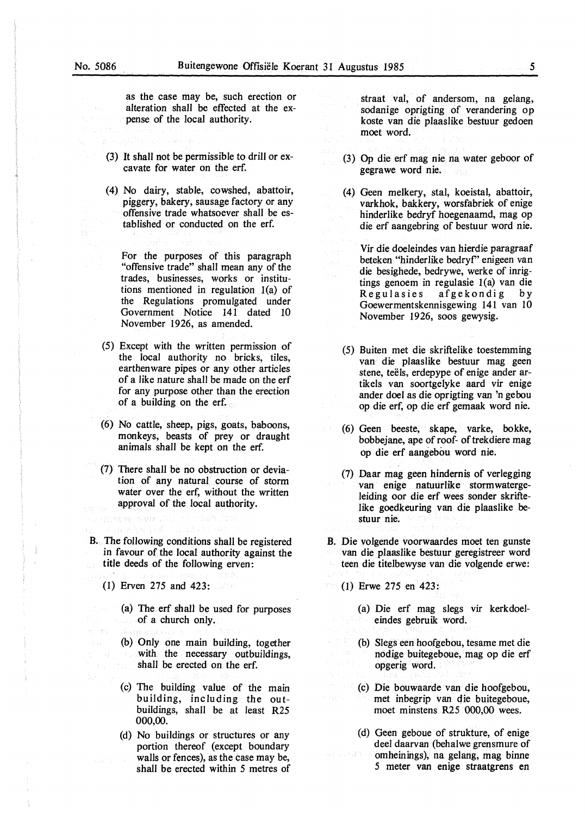as the case may be, such erection or alteration shall be effected at the expense of the local authority.

- (3) It shall not be permissible to drill or excavate for water on the erf.
- (4) No dairy, stable, cowshed, abattoir, piggery, bakery, sausage factory or any offensive trade whatsoever shall be established or conducted on the erf.

For the purposes of this paragraph "offensive trade" shall mean any of the trades, businesses, works or institutions mentioned in regulation l(a) of the Regulations promulgated under Government Notice 141 dated 10 November 1926, as amended.

- (5) Except with the written permission of the local authority no bricks, tiles, earthen ware pipes or any other articles of a like nature shall be made on the erf for any purpose other than the erection of a building on the erf.
- (6) No cattle, sheep, pigs, goats, baboons, monkeys, beasts of prey or draught animals shall be kept on the erf.
- (7) There shall be no obstruction or deviation of any natural course of storm water over the erf, without the written approval of the local authority.
- B. The following conditions shall be registered in favour of the local authority against the title deeds of the following erven:
	- (1) Erven 275 and 423:

nyabeg vale Pip

- (a) The erf shall be used for purposes of a church only.
- (b) Only one main building, together with the necessary outbuildings, shall be erected on the erf.
- (c) The building value of the main building, including the outbuildings, shall be at least R25 000,00.
- (d) No buildings or structures or any portion thereof (except boundary walls or fences), as the case may be, shall be erected within *5* metres of

straat val, of andersom, na gelang, sodanige oprigting of verandering op koste van die plaaslike bestuur gedoen moet word.

- (3) Op die erf mag nie na water geboor of gegrawe word nie.
- (4) Geen melkery, stal, koeistal, abattoir, varkhok, bakkery, worsfabriek of enige hinderlike bedryf hoegenaamd, mag op die erf aangebring of bestuur word nie.

Vir die doeleindes van hierdie paragraaf beteken "hinderlike bedryr' enigeen van die besighede, bedrywe, werke of inrigtings genoem in regulasie  $1(a)$  van die Regulasies afgekondig by Goewermentskennisgewing 141 van 10 November 1926, soos gewysig.

- (5) Buiten met die skriftelike toestemming van die plaaslike bestuur mag geen stene, teëls, erdepype of enige ander artikels van soortgelyke aard vir enige ander doel as die oprigting van 'n gebou op die erf, op die erf gemaak word nie.
- (6) Geen beeste, skape, varke, bokke, bobbejane, ape of roof- of trekdiere mag op die erf aangebou word nie.
- (7) Daar mag geen hindernis of verlegging van enige natuurlike stormwatergeleiding oor die erf wees sonder skriftelike goedkeuring van die plaaslike bestuur nie.
- B. Die volgende voorwaardes moet ten gunste van die plaaslike bestuur geregistreer word teen die titelbewyse van die volgende erwe:
- (1) Erwe 275 en 423: 204
	- (a) Die erf mag slegs vir kerkdoeleindes gebruik word.
	- (b) Slegs een hoofgebou, tesame met die nodige buitegeboue, mag op die erf opgerig word.
	- (c) Die bouwaarde van die hoofgebou, met inbegrip van die buitegeboue, moet minstens R25 000,00 wees.
	- ( d) Geen geboue of strukture, of enige deel daarvan (behalwe grensmure of 沙县住 omheinings), na gelang, mag binne *5* meter van enige straatgrens en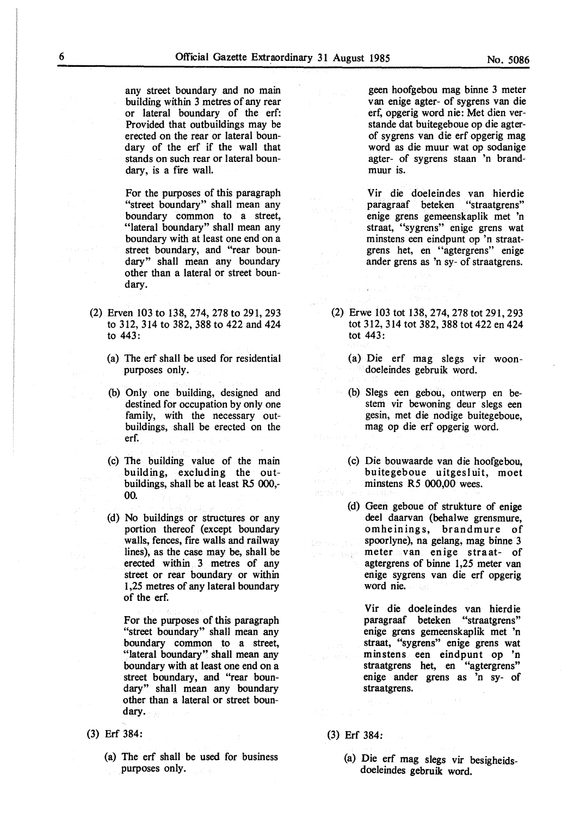any street boundary and no main building within 3 metres of any rear or lateral boundary of the erf: Provided that outbuildings may be erected on the rear or lateral boundary of the erf if the wall that stands on such rear or lateral boundary, is a fire wall.

For the purposes of this paragraph "street boundary" shall mean any boundary common to a street, "lateral boundary" shall mean any boundary with at least one end on a street boundary, and "rear boundary" shall mean any boundary other than a lateral or street boundary.

- (2) Erven 103 to 138,274,278 to 291,293 to 312, 314 to 382,388 to 422 and 424 to 443:
	- (a) The erf shall be used for residential purposes only.
	- (b) Only one building, designed and destined for occupation by only one family, with the necessary outbuildings, shall be erected on the erf.
	- (c) The building value of the main building, excluding the outbuildings, shall be at least R5 000,- 00.
	- (d) No buildings or structures or any portion thereof (except boundary walls, fences, fire walls and railway lines), as the case may be, shall be erected within 3 metres of any street or rear boundary or within 1,25 metres of any lateral boundary of the erf.

For the purposes of this paragraph "street boundary" shall mean any boundary common to a street, "lateral boundary" shall mean any boundary with at least one end on a street boundary, and "rear boundary" shall mean any boundary other than a lateral or street boundary.

- (3) Erf 384:
	- (a) The erf shall be used for business purposes only.

geen hoofgebou mag binne 3 meter van enige agter- of sygrens van die erf, opgerig word nie: Met dien verstande dat buitegeboue op die agterof sygrens van die erf opgerig mag word as die muur wat op sodanige agter- of sygrens staan 'n brandmuur is.

Vir die doeleindes van hierdie paragraaf beteken "straatgrens" enige grens gemeenskaplik met 'n straat, "sygrens" enige grens wat minstens een eindpunt op 'n straatgrens het, en "agtergrens" enige ander grens as 'n sy- of straatgrens.

- (2) Erwe 103 tot 138,274,278 tot 291,293 tot 312,314 tot 382,388 tot 422 en 424 tot 443:
	- (a) Die erf mag slegs vir woondoeleindes gebruik word.
	- (b) Slegs een gebou, ontwerp en bestem vir bewoning deur slegs een gesin, met die nodige buitegeboue, mag op die erf opgerig word.
	- (c) Die bouwaarde van die hoofgebou, buitegeboue uitgesl uit, moet minstens RS 000,00 wees.
- (d) Geen geboue of strukture of enige deel daarvan (behalwe grensmure, omheinings, brandmure of spoorlyne), na gelang, mag binne 3 meter van enige straat- of  $\mathcal{L}(\mathcal{C}) \cong \mathbb{C} \otimes \bigoplus_{\mathbf{X} \in \mathcal{C}} \mathbb{C}^{\mathbb{C}}$ agtergrens of binne 1,25 meter van enige sygrens van die erf opgerig word nie.

Vir die doeleindes van hierdie paragraaf beteken "straatgrens" enige grens gemeenskaplik met 'n straat, "sygrens" enige grens wat minstens een eindpunt op 'n straatgrens het, en "agtergrens" enige ander grens as 'n sy- of straatgrens.

(3) Erf 384:

an di Ky

(a) Die erf mag slegs vir besigheidsdoeleindes gebruik word.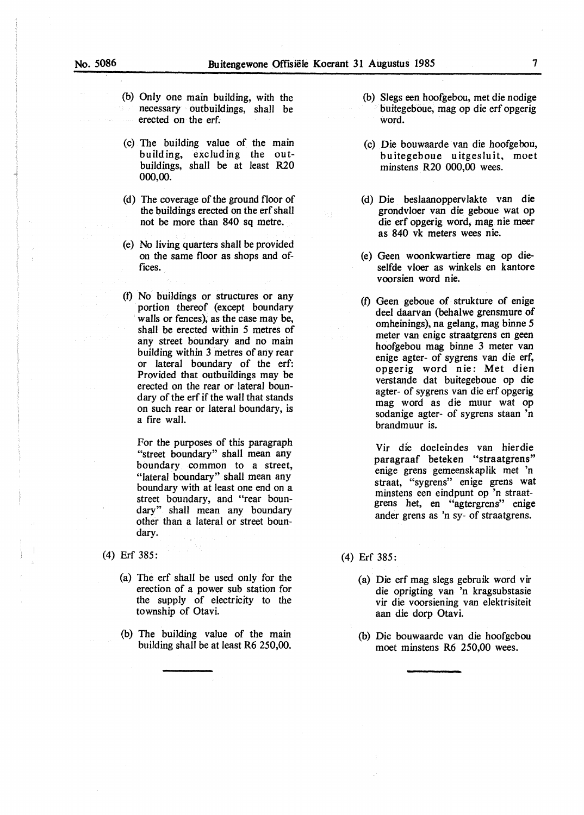- (b) Only one main building, with the necessary outbuildings, shall be erected on the erf.
- (c) The building value of the main building, excluding the outbuildings, shall be at least R20 000,00.
- (d) The coverage of the ground floor of the buildings erected on the erf shall not be more than 840 sq metre.
- (e) No living quarters shall be provided on the same floor as shops and offices.
- (f) No buildings or structures or any portion thereof (except boundary walls or fences), as the case may be, shall be erected within *5* metres of any street boundary and no main building within 3 metres of any rear or lateral boundary of the erf: Provided that outbuildings may be erected on the rear or lateral boundary of the erf if the wall that stands on such rear or lateral boundary, is a fire wall.

For the purposes of this paragraph "street boundary" shall mean any boundary common to a street, "lateral boundary" shall mean any boundary with at least one end on a street boundary, and "rear boundary" shall mean any boundary other than a lateral or street boundary.

- (4) Erf 385:
	- (a) The erf shall be used only for the erection of a power sub station for the supply of electricity to the township of Otavi.
	- (b) The building value of the main building shall be at least R6 250,00.
- (b) Slegs een hoofgebou, met die nodige buitegeboue, mag op die erf opgerig word.
- (c) Die bouwaarde van die hoofgebou, buitegeboue uitgesluit, moet minstens R20 000,00 wees.
- (d) Die beslaanoppervlakte van die grondvloer van die geboue wat op die erf opgerig word, mag nie meer as 840 vk meters wees nie.
- (e) Geen woonkwartiere mag op dieselfde vloer as winkels en kantore voorsien word nie.
- (f) Geen geboue of strukture of enige deel daarvan (behalwe grensmure of omheinings), na gelang, mag binne *5*  meter van enige straatgrens en geen hoofgebou mag binne 3 meter van enige agter- of sygrens van die erf, opgerig word nie: Met dien verstande dat buitegeboue op die agter- of sygrens van die erf opgerig mag word as die muur wat op sodanige agter- of sygrens staan 'n brandmuur is.

Vir die doeleindes van hierdie paragraaf beteken "straatgrens" enige grens gemeenskaplik met 'n straat, "sygrens" enige grens wat minstens een eindpunt op 'n straatgrens bet, en "agtergrens" enige ander grens as 'n sy- of straatgrens.

- (4) Erf 385:
	- (a) Die erf mag slegs gebruik word vir die oprigting van 'n kragsubstasie vir die voorsiening van elektrisiteit aan die dorp Otavi.
	- (b) Die bouwaarde van die hoofgebou moet minstens R6 250,00 wees.